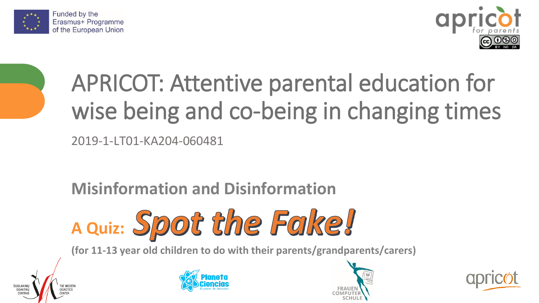



# APRICOT: Attentive parental education for wise being and co-being in changing times

2019-1-LT01-KA204-060481

### **Misinformation and Disinformation**



**(for 11-13 year old children to do with their parents/grandparents/carers)**







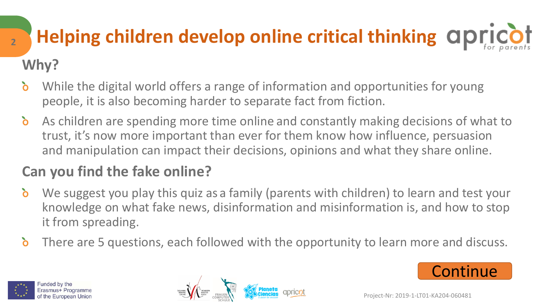## **Helping children develop online critical thinking Why?**

- $\mathbf{\delta}$ While the digital world offers a range of information and opportunities for young people, it is also becoming harder to separate fact from fiction.
- As children are spending more time online and constantly making decisions of what to  $\delta$ trust, it's now more important than ever for them know how influence, persuasion and manipulation can impact their decisions, opinions and what they share online.

### **Can you find the fake online?**

- $\mathbf{\delta}$ We suggest you play this quiz as a family (parents with children) to learn and test your knowledge on what fake news, disinformation and misinformation is, and how to stop it from spreading.
- $\delta$ There are 5 questions, each followed with the opportunity to learn more and discuss.







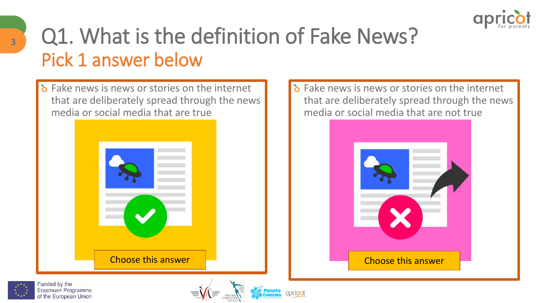

### <span id="page-2-0"></span>Q1. What is the definition of Fake News? Pick 1 answer below

 $\delta$  Fake news is news or stories on the internet that are deliberately spread through the news media or social media that are true





 $\delta$  Fake news is news or stories on the internet







apricot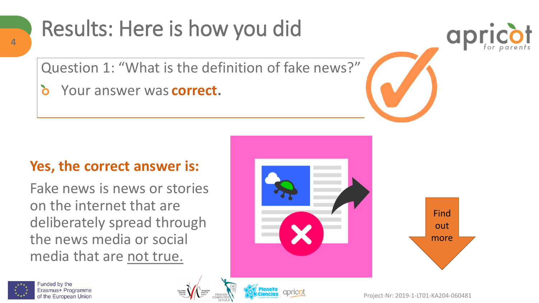### <span id="page-3-0"></span>Results: Here is how you did

Question 1: "What is the definition of fake news?"

Your answer was **correct. b** 

#### **Yes, the correct answer is:**

Fake news is news or stories on the internet that are deliberately spread through the news media or social media that are not true.





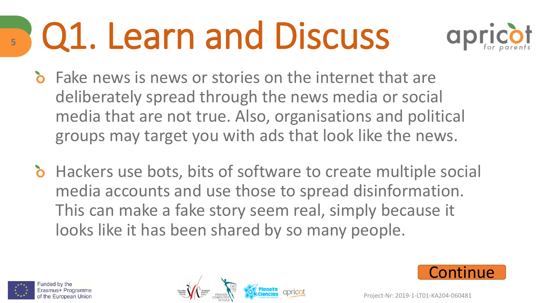# <span id="page-4-0"></span>Q1. Learn and Discuss



- Fake news is news or stories on the internet that are deliberately spread through the news media or social media that are not true. Also, organisations and political groups may target you with ads that look like the news.
- **b** Hackers use bots, bits of software to create multiple social media accounts and use those to spread disinformation. This can make a fake story seem real, simply because it looks like it has been shared by so many people.







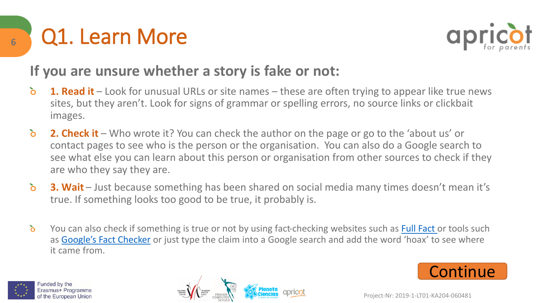



#### **If you are unsure whether a story is fake or not:**

- **1. Read it** Look for unusual URLs or site names these are often trying to appear like true news  $\delta$ sites, but they aren't. Look for signs of grammar or spelling errors, no source links or clickbait images.
- $\delta$ **2. Check it** – Who wrote it? You can check the author on the page or go to the 'about us' or contact pages to see who is the person or the organisation. You can also do a Google search to see what else you can learn about this person or organisation from other sources to check if they are who they say they are.
- $\delta$ **3. Wait** – Just because something has been shared on social media many times doesn't mean it's true. If something looks too good to be true, it probably is.
- $\delta$ You can also check if something is true or not by using fact-checking websites such as [Full Fact o](https://fullfact.org/)r tools such as [Google's Fact Checker](https://toolbox.google.com/factcheck/explorer) or just type the claim into a Google search and add the word 'hoax' to see where it came from.



<span id="page-5-0"></span>**6**



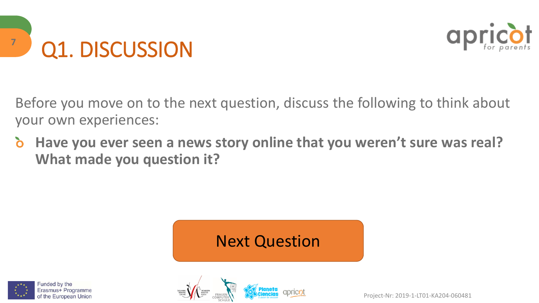<span id="page-6-0"></span>



Before you move on to the next question, discuss the following to think about your own experiences:

 $\mathbf{\delta}$ **Have you ever seen a news story online that you weren't sure was real? What made you question it?**

### [Next Question](#page-8-0)



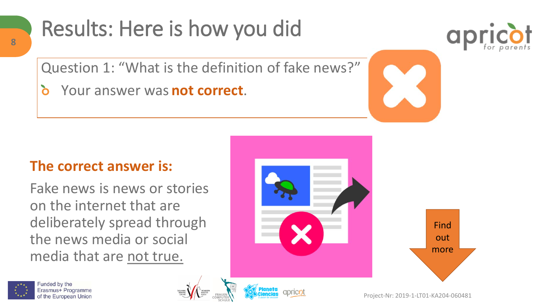### Results: Here is how you did



Question 1: "What is the definition of fake news?"

Your answer was **not correct**. **b** 

#### **The correct answer is:**

Fake news is news or stories on the internet that are deliberately spread through the news media or social media that are not true.







<span id="page-7-0"></span>**8**

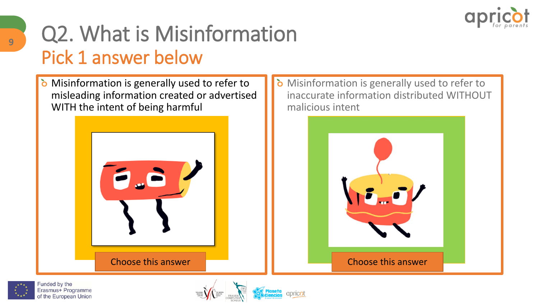

## <span id="page-8-0"></span>Q2. What is Misinformation Pick 1 answer below

**b** Misinformation is generally used to refer to misleading information created or advertised WITH the intent of being harmful



**b** Misinformation is generally used to refer to inaccurate information distributed WITHOUT malicious intent





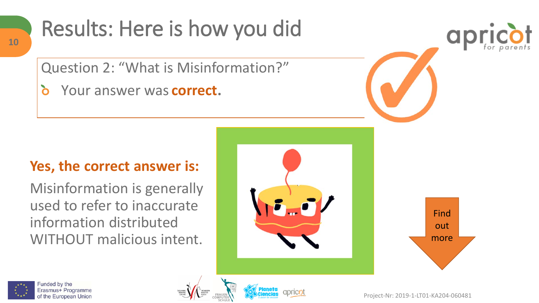### <span id="page-9-0"></span>Results: Here is how you did

Question 2: "What is Misinformation?"

Your answer was **correct. b** 

#### **Yes, the correct answer is:**

Misinformation is generally used to refer to inaccurate information distributed WITHOUT malicious intent.











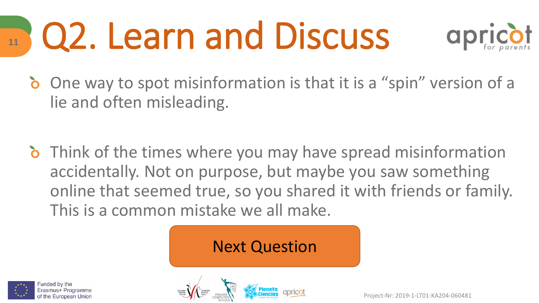### <span id="page-10-0"></span>Q2. Learn and Discuss **11**



- **b** One way to spot misinformation is that it is a "spin" version of a lie and often misleading.
- **b** Think of the times where you may have spread misinformation accidentally. Not on purpose, but maybe you saw something online that seemed true, so you shared it with friends or family. This is a common mistake we all make.

### [Next Question](#page-12-0)



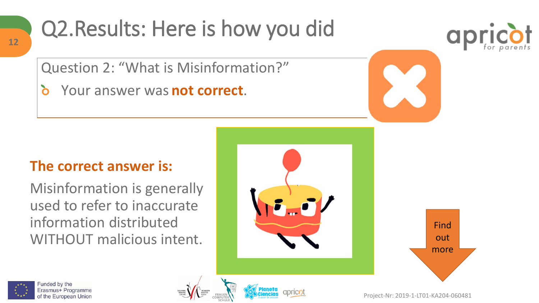### Q2.Results: Here is how you did

Question 2: "What is Misinformation?"

**b** Your answer was **not correct**.

#### **The correct answer is:**

Misinformation is generally used to refer to inaccurate information distributed WITHOUT malicious intent.







<span id="page-11-0"></span>**12**



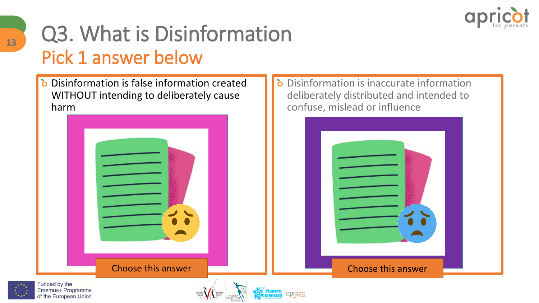

### <span id="page-12-0"></span>Q3. What is Disinformation Pick 1 answer below

Disinformation is false information created WITHOUT intending to deliberately cause harm



Disinformation is inaccurate information ò deliberately distributed and intended to confuse, mislead or influence





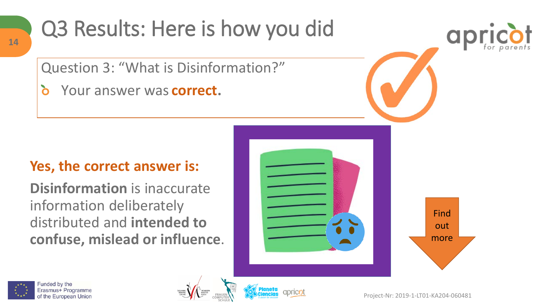<span id="page-13-0"></span>

Question 3: "What is Disinformation?"

Your answer was **correct. b** 

#### **Yes, the correct answer is:**

**Disinformation** is inaccurate information deliberately distributed and **intended to confuse, mislead or influence**.





a



**14**



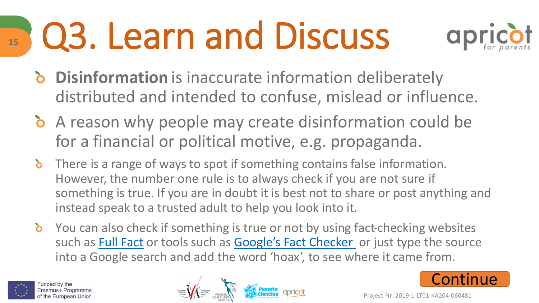# <span id="page-14-0"></span>Q3. Learn and Discuss



- **Disinformation** is inaccurate information deliberately distributed and intended to confuse, mislead or influence.
- A reason why people may create disinformation could be for a financial or political motive, e.g. propaganda.
- **b** There is a range of ways to spot if something contains false information. However, the number one rule is to always check if you are not sure if something is true. If you are in doubt it is best not to share or post anything and instead speak to a trusted adult to help you look into it.
- You can also check if something is true or not by using fact-checking websites such as [Full Fact](https://fullfact.org/) or tools such as [Google's Fact Checker](https://toolbox.google.com/factcheck/explorer) or just type the source into a Google search and add the word 'hoax', to see where it came from.



**15**



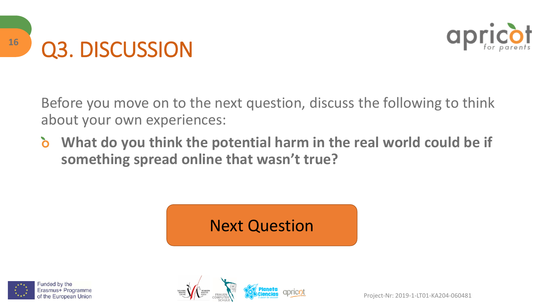

<span id="page-15-0"></span>

Before you move on to the next question, discuss the following to think about your own experiences:

 $\delta$ **What do you think the potential harm in the real world could be if something spread online that wasn't true?**

### [Next Question](#page-17-0)



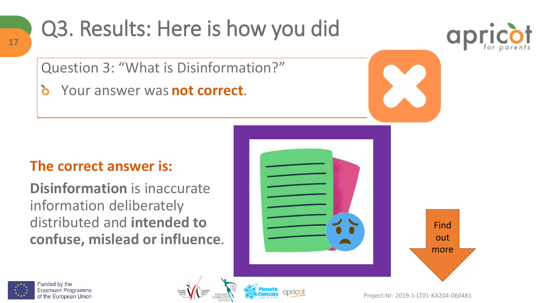### <span id="page-16-0"></span>Q3. Results: Here is how you did

Question 3: "What is Disinformation?"

Your answer was **not correct**. **b** 

#### **The correct answer is:**

**Disinformation** is inaccurate information deliberately distributed and **intended to confuse, mislead or influence**.











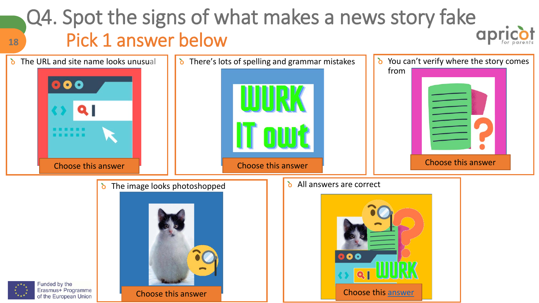### <span id="page-17-0"></span>Q4. Spot the signs of what makes a news story fake Pick 1 answer below

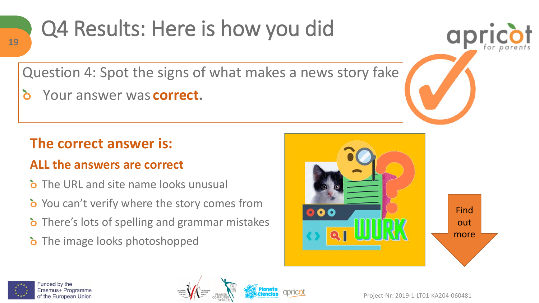<span id="page-18-0"></span>

#### Question 4: Spot the signs of what makes a news story fake

δ Your answer was **correct.**

#### **The correct answer is:**

#### **ALL the answers are correct**

- **b** The URL and site name looks unusual
- **b** You can't verify where the story comes from
- **b** There's lots of spelling and grammar mistakes
- **b** The image looks photoshopped





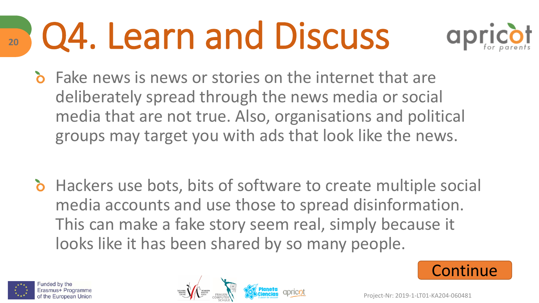### <span id="page-19-0"></span>Q4. Learn and Discuss **20**



Fake news is news or stories on the internet that are deliberately spread through the news media or social media that are not true. Also, organisations and political groups may target you with ads that look like the news.

**b** Hackers use bots, bits of software to create multiple social media accounts and use those to spread disinformation. This can make a fake story seem real, simply because it looks like it has been shared by so many people.







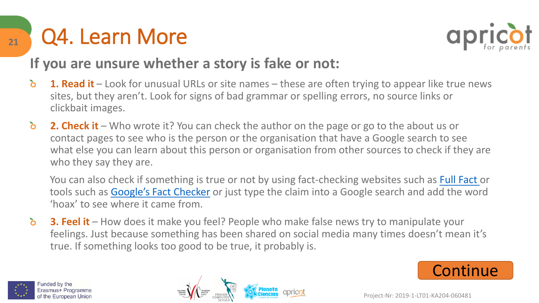<span id="page-20-0"></span>



#### **If you are unsure whether a story is fake or not:**

- $\delta$ **1. Read it** – Look for unusual URLs or site names – these are often trying to appear like true news sites, but they aren't. Look for signs of bad grammar or spelling errors, no source links or clickbait images.
- $\delta$ **2. Check it** – Who wrote it? You can check the author on the page or go to the about us or contact pages to see who is the person or the organisation that have a Google search to see what else you can learn about this person or organisation from other sources to check if they are who they say they are.

You can also check if something is true or not by using fact-checking websites such as [Full Fact o](https://fullfact.org/)r tools such as [Google's Fact Checker](https://toolbox.google.com/factcheck/explorer) or just type the claim into a Google search and add the word 'hoax' to see where it came from.

 $\delta$ **3. Feel it** – How does it make you feel? People who make false news try to manipulate your feelings. Just because something has been shared on social media many times doesn't mean it's true. If something looks too good to be true, it probably is.





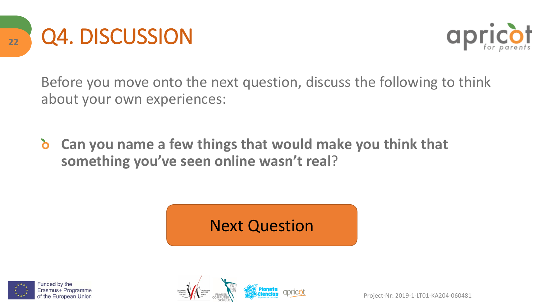<span id="page-21-0"></span>



Before you move onto the next question, discuss the following to think about your own experiences:

 $\delta$ **Can you name a few things that would make you think that something you've seen online wasn't real**?

### [Next Question](#page-23-0)



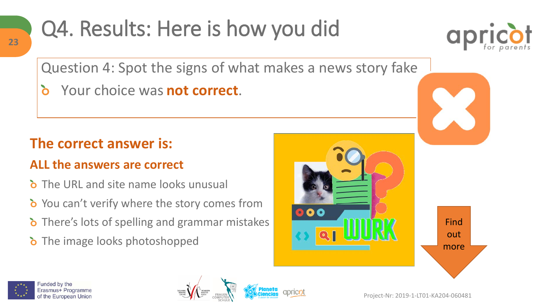## <span id="page-22-0"></span>Q4. Results: Here is how you did



Question 4: Spot the signs of what makes a news story fake

Your choice was **not correct**.  $\delta$ 

#### **The correct answer is:**

#### **ALL the answers are correct**

- **b** The URL and site name looks unusual
- **b** You can't verify where the story comes from
- **b** There's lots of spelling and grammar mistakes
- **b** The image looks photoshopped







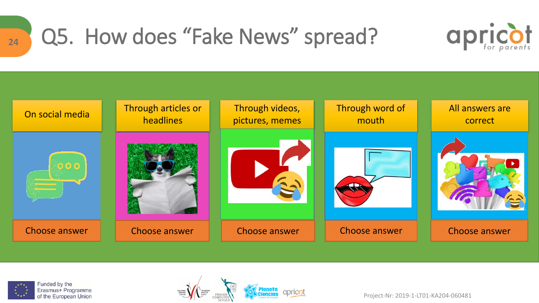<span id="page-23-0"></span>

### Q5. How does "Fake News" spread?







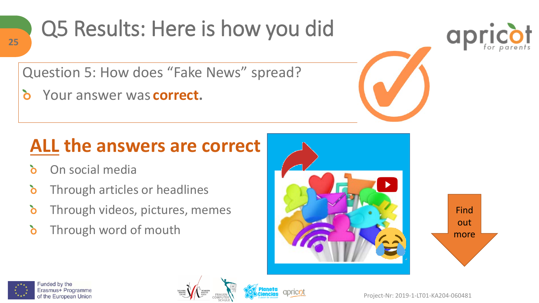<span id="page-24-0"></span>

#### Question 5: How does "Fake News" spread?

 $\delta$ Your answer was **correct.**

### **ALL the answers are correct**

- On social media  $\mathbf{\delta}$
- $\delta$ Through articles or headlines
- ò Through videos, pictures, memes
- $\delta$ Through word of mouth











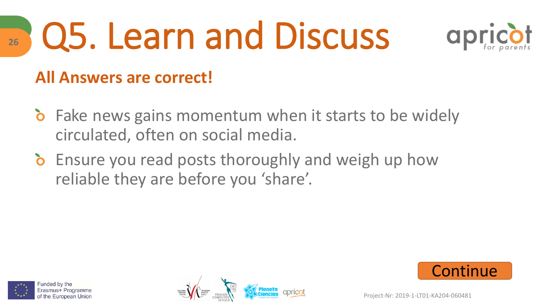# Q5. Learn and Discuss



#### **All Answers are correct!**

- **b** Fake news gains momentum when it starts to be widely circulated, often on social media.
- **b** Ensure you read posts thoroughly and weigh up how reliable they are before you 'share'.



<span id="page-25-0"></span>**26**





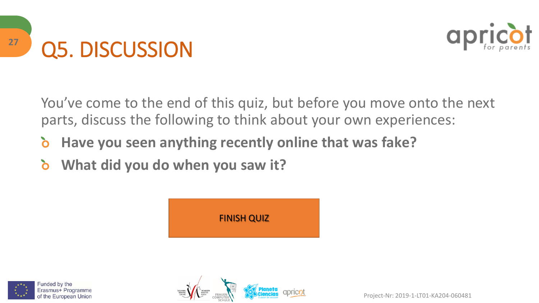<span id="page-26-0"></span>



You've come to the end of this quiz, but before you move onto the next parts, discuss the following to think about your own experiences:

- ò **Have you seen anything recently online that was fake?**
- $\delta$ **What did you do when you saw it?**





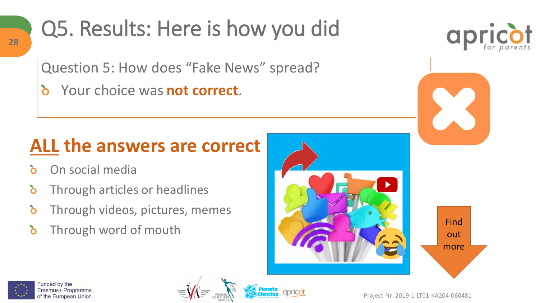## <span id="page-27-0"></span>Q5. Results: Here is how you did

Question 5: How does "Fake News" spread?

Your choice was **not correct**.  $\delta$ 

### **ALL the answers are correct**

- On social media λ
- $\delta$ Through articles or headlines
- ò Through videos, pictures, memes
- Through word of mouth Find  $\delta$